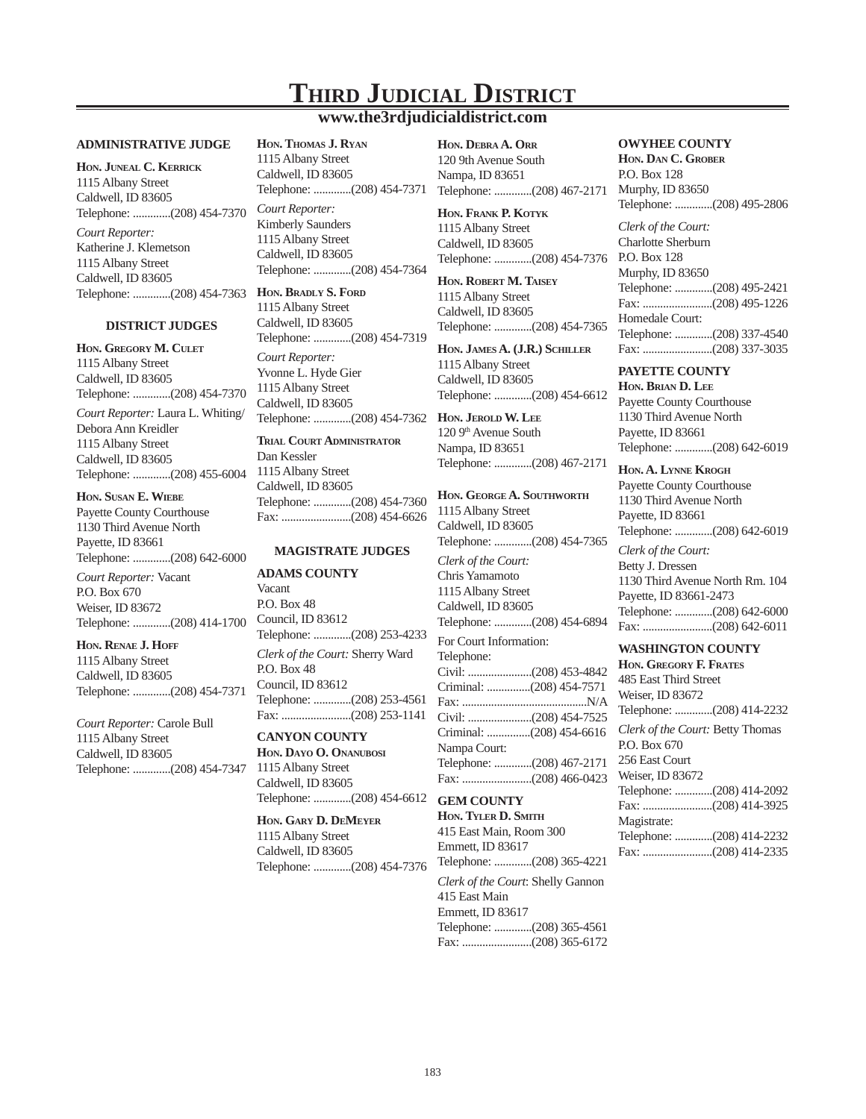# **THIRD JUDICIAL DISTRICT**

# **www.the3rdjudicialdistrict.com**

#### **ADMINISTRATIVE JUDGE**

**HON. JUNEAL C. KERRICK** 1115 Albany Street Caldwell, ID 83605 Telephone: .............(208) 454-7370

*Court Reporter:*  Katherine J. Klemetson 1115 Albany Street Caldwell, ID 83605 Telephone: .............(208) 454-7363 **HON. BRADLY S. FORD**

## **DISTRICT JUDGES**

**HON. GREGORY M. CULET** 1115 Albany Street Caldwell, ID 83605 Telephone: .............(208) 454-7370

*Court Reporter:* Laura L. Whiting/ Debora Ann Kreidler 1115 Albany Street Caldwell, ID 83605 Telephone: .............(208) 455-6004

**HON. SUSAN E. WIEBE** Payette County Courthouse 1130 Third Avenue North Payette, ID 83661 Telephone: .............(208) 642-6000

*Court Reporter:* Vacant P.O. Box 670 Weiser, ID 83672 Telephone: .............(208) 414-1700

**HON. RENAE J. HOFF** 1115 Albany Street Caldwell, ID 83605 Telephone: .............(208) 454-7371

*Court Reporter:* Carole Bull 1115 Albany Street Caldwell, ID 83605 Telephone: .............(208) 454-7347 **HON. THOMAS J. RYAN** 1115 Albany Street

Caldwell, ID 83605 Telephone: .............(208) 454-7371 *Court Reporter:*  Kimberly Saunders 1115 Albany Street Caldwell, ID 83605 Telephone: .............(208) 454-7364

1115 Albany Street Caldwell, ID 83605 Telephone: .............(208) 454-7319

*Court Reporter:* Yvonne L. Hyde Gier 1115 Albany Street Caldwell, ID 83605 Telephone: .............(208) 454-7362

**TRIAL COURT ADMINISTRATOR** Dan Kessler 1115 Albany Street Caldwell, ID 83605 Telephone: .............(208) 454-7360 Fax: ........................(208) 454-6626

#### **MAGISTRATE JUDGES**

**ADAMS COUNTY** Vacant P.O. Box 48 Council, ID 83612 Telephone: .............(208) 253-4233 *Clerk of the Court:* Sherry Ward P.O. Box 48 Council, ID 83612 Telephone: .............(208) 253-4561 Fax: ........................(208) 253-1141

**CANYON COUNTY HON. DAYO O. ONANUBOSI** 1115 Albany Street Caldwell, ID 83605 Telephone: .............(208) 454-6612

**HON. GARY D. DEMEYER** 1115 Albany Street Caldwell, ID 83605 Telephone: .............(208) 454-7376 **HON. DEBRA A. ORR** 120 9th Avenue South Nampa, ID 83651 Telephone: .............(208) 467-2171

**HON. FRANK P. KOTYK** 1115 Albany Street Caldwell, ID 83605 Telephone: .............(208) 454-7376

**HON. ROBERT M. TAISEY** 1115 Albany Street Caldwell, ID 83605 Telephone: .............(208) 454-7365

**HON. JAMES A. (J.R.) SCHILLER** 1115 Albany Street Caldwell, ID 83605 Telephone: .............(208) 454-6612

**HON. JEROLD W. LEE** 120 9<sup>th</sup> Avenue South Nampa, ID 83651 Telephone: .............(208) 467-2171

**HON. GEORGE A. SOUTHWORTH** 1115 Albany Street Caldwell, ID 83605 Telephone: .............(208) 454-7365 *Clerk of the Court:*  Chris Yamamoto 1115 Albany Street Caldwell, ID 83605 Telephone: .............(208) 454-6894 For Court Information: Telephone: Civil: ......................(208) 453-4842 Criminal: ...............(208) 454-7571 Fax: ...........................................N/A Civil: ......................(208) 454-7525 Criminal: ...............(208) 454-6616 Nampa Court: Telephone: .............(208) 467-2171

## **GEM COUNTY**

**HON. TYLER D. SMITH** 415 East Main, Room 300 Emmett, ID 83617 Telephone: .............(208) 365-4221

Fax: ........................(208) 466-0423

*Clerk of the Court*: Shelly Gannon 415 East Main Emmett, ID 83617 Telephone: .............(208) 365-4561 Fax: ........................(208) 365-6172

### **OWYHEE COUNTY**

**HON. DAN C. GROBER** P.O. Box 128 Murphy, ID 83650 Telephone: .............(208) 495-2806

*Clerk of the Court:*  Charlotte Sherburn P.O. Box 128 Murphy, ID 83650 Telephone: .............(208) 495-2421 Fax: ........................(208) 495-1226 Homedale Court: Telephone: .............(208) 337-4540 Fax: ........................(208) 337-3035

## **PAYETTE COUNTY**

**HON. BRIAN D. LEE** Payette County Courthouse 1130 Third Avenue North Payette, ID 83661 Telephone: .............(208) 642-6019

**HON. A. LYNNE KROGH** Payette County Courthouse 1130 Third Avenue North Payette, ID 83661 Telephone: .............(208) 642-6019 *Clerk of the Court:* Betty J. Dressen 1130 Third Avenue North Rm. 104 Payette, ID 83661-2473 Telephone: .............(208) 642-6000 Fax: ........................(208) 642-6011

#### **WASHINGTON COUNTY**

**HON. GREGORY F. FRATES** 485 East Third Street Weiser, ID 83672 Telephone: .............(208) 414-2232 *Clerk of the Court:* Betty Thomas P.O. Box 670 256 East Court Weiser, ID 83672 Telephone: .............(208) 414-2092 Fax: ........................(208) 414-3925 Magistrate: Telephone: .............(208) 414-2232 Fax: ........................(208) 414-2335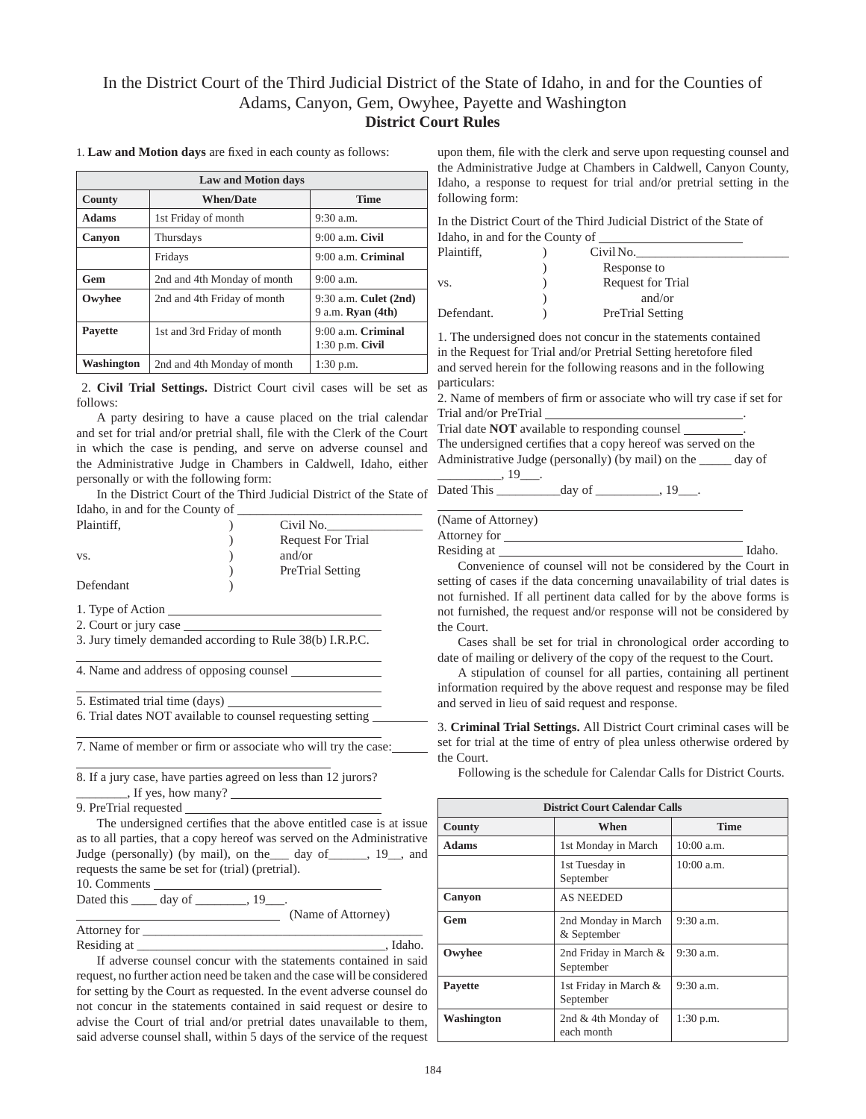# In the District Court of the Third Judicial District of the State of Idaho, in and for the Counties of Adams, Canyon, Gem, Owyhee, Payette and Washington **District Court Rules**

1. Law and Motion days are fixed in each county as follows:

| <b>Law and Motion days</b> |                             |                                                   |
|----------------------------|-----------------------------|---------------------------------------------------|
| County                     | <b>When/Date</b>            | <b>Time</b>                                       |
| <b>Adams</b>               | 1st Friday of month         | $9:30$ a.m.                                       |
| Canyon                     | Thursdays                   | $9:00$ a.m. Civil                                 |
|                            | Fridays                     | 9:00 a.m. Criminal                                |
| Gem                        | 2nd and 4th Monday of month | $9:00$ a.m.                                       |
| Owyhee                     | 2nd and 4th Friday of month | 9:30 a.m. Culet (2nd)<br>9 a.m. <b>Ryan</b> (4th) |
| <b>Pavette</b>             | 1st and 3rd Friday of month | $9:00$ a.m. Criminal<br>$1:30$ p.m. Civil         |
| Washington                 | 2nd and 4th Monday of month | $1:30$ p.m.                                       |

2. **Civil Trial Settings.** District Court civil cases will be set as follows:

A party desiring to have a cause placed on the trial calendar and set for trial and/or pretrial shall, file with the Clerk of the Court in which the case is pending, and serve on adverse counsel and the Administrative Judge in Chambers in Caldwell, Idaho, either personally or with the following form:

In the District Court of the Third Judicial District of the State of Idaho, in and for the County of

| Plaintiff, | Civil No.                |
|------------|--------------------------|
|            | <b>Request For Trial</b> |
| VS.        | and/or                   |
|            | <b>PreTrial Setting</b>  |
| Defendant  |                          |

1. Type of Action

 $\overline{a}$ 

 $\overline{a}$ 

 $\overline{a}$ 

2. Court or jury case

3. Jury timely demanded according to Rule 38(b) I.R.P.C.

4. Name and address of opposing counsel

5. Estimated trial time (days)

6. Trial dates NOT available to counsel requesting setting

7. Name of member or firm or associate who will try the case:

8. If a jury case, have parties agreed on less than 12 jurors? \_\_\_\_\_\_\_\_, If yes, how many?

9. PreTrial requested

The undersigned certifies that the above entitled case is at issue as to all parties, that a copy hereof was served on the Administrative Judge (personally) (by mail), on the\_\_\_ day of\_\_\_\_\_\_, 19\_\_, and requests the same be set for (trial) (pretrial). 10. Comments

Dated this \_\_\_\_\_ day of \_\_\_\_\_\_\_, 19\_\_\_.

(Name of Attorney)

Attorney for \_\_\_\_\_\_\_\_\_\_\_\_\_\_\_\_\_\_\_\_\_\_\_\_\_\_\_\_\_\_\_\_\_\_\_\_\_\_\_\_\_\_\_\_ Residing at the state of the state of the state of the state of the state of the state of the state of the state of the state of the state of the state of the state of the state of the state of the state of the state of th

If adverse counsel concur with the statements contained in said request, no further action need be taken and the case will be considered for setting by the Court as requested. In the event adverse counsel do not concur in the statements contained in said request or desire to advise the Court of trial and/or pretrial dates unavailable to them, said adverse counsel shall, within 5 days of the service of the request upon them, file with the clerk and serve upon requesting counsel and the Administrative Judge at Chambers in Caldwell, Canyon County, Idaho, a response to request for trial and/or pretrial setting in the following form:

In the District Court of the Third Judicial District of the State of Idaho, in and for the County of

| Plaintiff, | Civil No.               |
|------------|-------------------------|
|            | Response to             |
| VS.        | Request for Trial       |
|            | and/or                  |
| Defendant. | <b>PreTrial Setting</b> |

1. The undersigned does not concur in the statements contained in the Request for Trial and/or Pretrial Setting heretofore filed and served herein for the following reasons and in the following particulars:

2. Name of members of firm or associate who will try case if set for Trial and/or PreTrial .

Trial date **NOT** available to responding counsel . The undersigned certifies that a copy hereof was served on the Administrative Judge (personally) (by mail) on the \_\_\_\_\_ day of  $\frac{19}{19}$ .

Dated This \_\_\_\_\_\_\_\_\_\_day of \_\_\_\_\_\_\_\_\_\_, 19\_\_\_.

(Name of Attorney)

 $\overline{a}$ 

Attorney for

Residing at **Idaho.** Idaho.

Convenience of counsel will not be considered by the Court in setting of cases if the data concerning unavailability of trial dates is not furnished. If all pertinent data called for by the above forms is not furnished, the request and/or response will not be considered by the Court.

Cases shall be set for trial in chronological order according to date of mailing or delivery of the copy of the request to the Court.

A stipulation of counsel for all parties, containing all pertinent information required by the above request and response may be filed and served in lieu of said request and response.

3. **Criminal Trial Settings.** All District Court criminal cases will be set for trial at the time of entry of plea unless otherwise ordered by the Court.

Following is the schedule for Calendar Calls for District Courts.

| <b>District Court Calendar Calls</b> |                                    |              |
|--------------------------------------|------------------------------------|--------------|
| <b>County</b>                        | When                               | <b>Time</b>  |
| <b>Adams</b>                         | 1st Monday in March                | $10:00$ a.m. |
|                                      | 1st Tuesday in<br>September        | 10:00a.m.    |
| Canyon                               | <b>AS NEEDED</b>                   |              |
| Gem                                  | 2nd Monday in March<br>& September | $9:30$ a.m.  |
| Owyhee                               | 2nd Friday in March &<br>September | $9:30$ a.m.  |
| Pavette                              | 1st Friday in March &<br>September | $9:30$ a.m.  |
| Washington                           | 2nd & 4th Monday of<br>each month  | $1:30$ p.m.  |